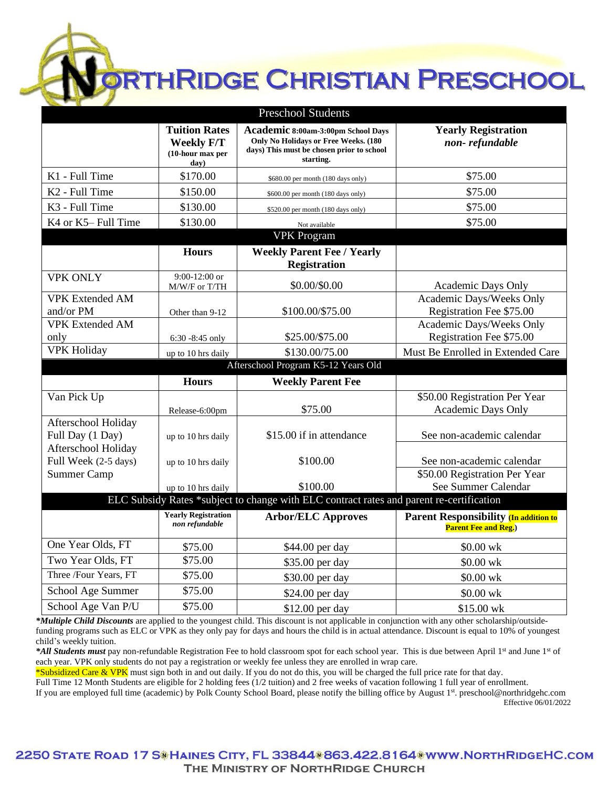**PRTHRIDGE CHRISTIAN PRESCHOOL** 

| <b>Preschool Students</b>                                                                |                                                                       |                                                                                                                                      |                                                                              |
|------------------------------------------------------------------------------------------|-----------------------------------------------------------------------|--------------------------------------------------------------------------------------------------------------------------------------|------------------------------------------------------------------------------|
|                                                                                          | <b>Tuition Rates</b><br><b>Weekly F/T</b><br>(10-hour max per<br>day) | Academic 8:00am-3:00pm School Days<br>Only No Holidays or Free Weeks. (180<br>days) This must be chosen prior to school<br>starting. | <b>Yearly Registration</b><br>non-refundable                                 |
| K1 - Full Time                                                                           | \$170.00                                                              | \$680.00 per month (180 days only)                                                                                                   | \$75.00                                                                      |
| K <sub>2</sub> - Full Time                                                               | \$150.00                                                              | \$600.00 per month (180 days only)                                                                                                   | \$75.00                                                                      |
| K <sub>3</sub> - Full Time                                                               | \$130.00                                                              | \$520.00 per month (180 days only)                                                                                                   | \$75.00                                                                      |
| K4 or K5-Full Time                                                                       | \$130.00                                                              | Not available                                                                                                                        | \$75.00                                                                      |
|                                                                                          |                                                                       | <b>VPK Program</b>                                                                                                                   |                                                                              |
|                                                                                          | <b>Hours</b>                                                          | <b>Weekly Parent Fee / Yearly</b>                                                                                                    |                                                                              |
|                                                                                          |                                                                       | <b>Registration</b>                                                                                                                  |                                                                              |
| <b>VPK ONLY</b>                                                                          | $9:00-12:00$ or<br>M/W/F or T/TH                                      | \$0.00/\$0.00                                                                                                                        | Academic Days Only                                                           |
| <b>VPK Extended AM</b><br>and/or PM                                                      | Other than 9-12                                                       | \$100.00/\$75.00                                                                                                                     | Academic Days/Weeks Only<br>Registration Fee \$75.00                         |
| <b>VPK Extended AM</b><br>only                                                           | $6:30 - 8:45$ only                                                    | \$25.00/\$75.00                                                                                                                      | Academic Days/Weeks Only<br>Registration Fee \$75.00                         |
| <b>VPK Holiday</b>                                                                       | up to 10 hrs daily                                                    | \$130.00/75.00                                                                                                                       | Must Be Enrolled in Extended Care                                            |
| Afterschool Program K5-12 Years Old                                                      |                                                                       |                                                                                                                                      |                                                                              |
|                                                                                          | <b>Hours</b>                                                          | <b>Weekly Parent Fee</b>                                                                                                             |                                                                              |
| Van Pick Up                                                                              | Release-6:00pm                                                        | \$75.00                                                                                                                              | \$50.00 Registration Per Year<br>Academic Days Only                          |
| Afterschool Holiday<br>Full Day (1 Day)                                                  | up to 10 hrs daily                                                    | \$15.00 if in attendance                                                                                                             | See non-academic calendar                                                    |
| Afterschool Holiday<br>Full Week (2-5 days)                                              | up to 10 hrs daily                                                    | \$100.00                                                                                                                             | See non-academic calendar                                                    |
| <b>Summer Camp</b>                                                                       | up to 10 hrs daily                                                    | \$100.00                                                                                                                             | \$50.00 Registration Per Year<br>See Summer Calendar                         |
| ELC Subsidy Rates *subject to change with ELC contract rates and parent re-certification |                                                                       |                                                                                                                                      |                                                                              |
|                                                                                          | <b>Yearly Registration</b><br>non refundable                          | <b>Arbor/ELC Approves</b>                                                                                                            | <b>Parent Responsibility (In addition to</b><br><b>Parent Fee and Reg.</b> ) |
| One Year Olds, FT                                                                        | \$75.00                                                               | \$44.00 per day                                                                                                                      | \$0.00 wk                                                                    |
| Two Year Olds, FT                                                                        | \$75.00                                                               | \$35.00 per day                                                                                                                      | \$0.00 wk                                                                    |
| Three /Four Years, FT                                                                    | \$75.00                                                               | \$30.00 per day                                                                                                                      | \$0.00 wk                                                                    |
| School Age Summer                                                                        | \$75.00                                                               | \$24.00 per day                                                                                                                      | \$0.00 wk                                                                    |
| School Age Van P/U                                                                       | \$75.00                                                               | \$12.00 per day                                                                                                                      | \$15.00 wk                                                                   |

*\*Multiple Child Discounts* are applied to the youngest child. This discount is not applicable in conjunction with any other scholarship/outsidefunding programs such as ELC or VPK as they only pay for days and hours the child is in actual attendance. Discount is equal to 10% of youngest child's weekly tuition.

\*All Students must pay non-refundable Registration Fee to hold classroom spot for each school year. This is due between April 1<sup>st</sup> and June 1<sup>st</sup> of each year. VPK only students do not pay a registration or weekly fee unless they are enrolled in wrap care.

\*Subsidized Care & VPK must sign both in and out daily. If you do not do this, you will be charged the full price rate for that day.

Full Time 12 Month Students are eligible for 2 holding fees (1/2 tuition) and 2 free weeks of vacation following 1 full year of enrollment.

If you are employed full time (academic) by Polk County School Board, please notify the billing office by August 1<sup>st</sup>. preschool@northridgehc.com Effective 06/01/2022